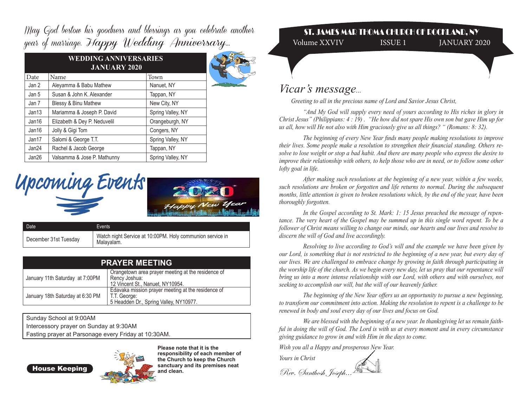May God bestow his goodness and blessings as you celebrate another year of marriage. Happy Wedding Anniversary...

| Date  | Name                            | Town              |  |
|-------|---------------------------------|-------------------|--|
| Jan 2 | Aleyamma & Babu Mathew          | Nanuet, NY        |  |
| Jan 5 | Susan & John K. Alexander       | Tappan, NY        |  |
| Jan 7 | <b>Blessy &amp; Binu Mathew</b> | New City, NY      |  |
| Jan13 | Mariamma & Joseph P. David      | Spring Valley, NY |  |
| Jan16 | Elizabeth & Dey P. Neduvelil    | Orangeburgh, NY   |  |
| Jan16 | Jolly & Gigi Tom                | Congers, NY       |  |
| Jan17 | Salomi & George T.T.            | Spring Valley, NY |  |
| Jan24 | Rachel & Jacob George           | Tappan, NY        |  |
| Jan26 | Valsamma & Jose P. Mathunny     | Spring Valley, NY |  |





| Date                  | Events                                                                  |
|-----------------------|-------------------------------------------------------------------------|
| December 31st Tuesday | Watch night Service at 10:00PM. Holy communion service in<br>Malavalam. |

| <b>PRAYER MEETING</b>                                                                                                                      |                                                                                                              |  |
|--------------------------------------------------------------------------------------------------------------------------------------------|--------------------------------------------------------------------------------------------------------------|--|
| Orangetown area prayer meeting at the residence of<br>January 11th Saturday at 7:00PM<br>Rency Joshua:<br>12 Vincent St., Nanuet, NY10954. |                                                                                                              |  |
| January 18th Saturday at 6:30 PM                                                                                                           | Edavaka mission prayer meeting at the residence of<br>T.T. George:<br>5 Headden Dr., Spring Valley, NY10977. |  |

Sunday School at 9:00AM Intercessory prayer on Sunday at 9:30AM Fasting prayer at Parsonage every Friday at 10:30AM.

House Keeping



**Please note that it is the responsibility of each member of the Church to keep the Church sanctuary and its premises neat and clean.** 

## ST. JAMES MAR THOMA CHURCH OF ROCKLAND, NY

Volume XXVIV ISSUE 1 JANUARY 2020

## *Vicar's message...*

 *Greeting to all in the precious name of Lord and Savior Jesus Christ,*

*"And My God will supply every need of yours according to His riches in glory in Christ Jesus" (Philippians: 4 : 19) . "He how did not spare His own son but gave Him up for us all, how will He not also with Him graciously give us all things? " (Romans: 8: 32).* 

 *The beginning of every New Year finds many people making resolutions to improve their lives. Some people make a resolution to strengthen their financial standing. Others resolve to lose weight or stop a bad habit. And there are many people who express the desire to improve their relationship with others, to help those who are in need, or to follow some other lofty goal in life.* 

 *After making such resolutions at the beginning of a new year, within a few weeks, such resolutions are broken or forgotten and life returns to normal. During the subsequent months, little attention is given to broken resolutions which, by the end of the year, have been thoroughly forgotten.*

 *In the Gospel according to St. Mark: 1: 15 Jesus preached the message of repentance. The very heart of the Gospel may be summed up in this single word repent. To be a follower of Christ means willing to change our minds, our hearts and our lives and resolve to discern the will of God and live accordingly.*

*Resolving to live according to God's will and the example we have been given by our Lord, is something that is not restricted to the beginning of a new year, but every day of our lives. We are challenged to embrace change by growing in faith through participating in the worship life of the church. As we begin every new day, let us pray that our repentance will bring us into a more intense relationship with our Lord, with others and with ourselves, not seeking to accomplish our will, but the will of our heavenly father.*

 *The beginning of the New Year offers us an opportunity to pursue a new beginning, to transform our commitment into action. Making the resolution to repent is a challenge to be renewed in body and soul every day of our lives and focus on God.* 

 *We are blessed with the beginning of a new year. In thanksgiving let us remain faithful in doing the will of God. The Lord is with us at every moment and in every circumstance giving guidance to grow in and with Him in the days to come.* 

*Wish you all a Happy and prosperous New Year.* 

*Yours in Christ* 

Rev. Santhosh Joseph...